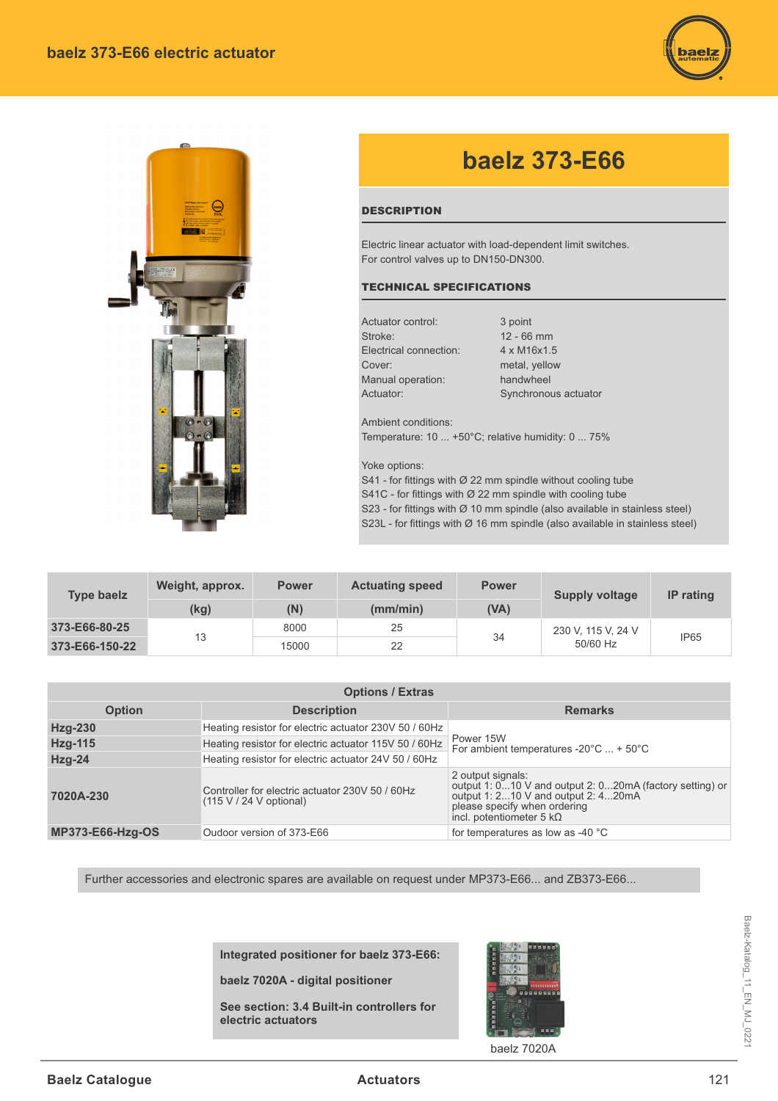



## **baelz 373-E66**

## **DESCRIPTION**

Electric linear actuator with load-dependent limit switches. For control valves up to DN150-DN300.

## TECHNICAL SPECIFICATIONS

Actuator control: 3 point Stroke: 12 - 66 mm Electrical connection: 4 x M16x1.5 Cover: metal, yellow Manual operation: handwheel

Actuator: Synchronous actuator

Ambient conditions: Temperature: 10 ... +50°C; relative humidity: 0 ... 75%

Yoke options:

S41 - for fittings with  $\varnothing$  22 mm spindle without cooling tube

S41C - for fittings with  $\varnothing$  22 mm spindle with cooling tube

S23 - for fittings with  $\varnothing$  10 mm spindle (also available in stainless steel)

S23L - for fittings with Ø 16 mm spindle (also available in stainless steel)

| <b>Type baelz</b> | Weight, approx. | <b>Power</b> | <b>Actuating speed</b> | <b>Power</b> | <b>Supply voltage</b>          | <b>IP</b> rating |
|-------------------|-----------------|--------------|------------------------|--------------|--------------------------------|------------------|
|                   | (kg)            | (N)          | (mm/min)               | (VA)         |                                |                  |
| 373-E66-80-25     | 13              | 8000         | 25                     | 34           | 230 V, 115 V, 24 V<br>50/60 Hz | IP <sub>65</sub> |
| 373-E66-150-22    |                 | 15000        | 22                     |              |                                |                  |

| <b>Options / Extras</b> |                                                                              |                                                                                                                                                                                         |  |  |  |  |
|-------------------------|------------------------------------------------------------------------------|-----------------------------------------------------------------------------------------------------------------------------------------------------------------------------------------|--|--|--|--|
| <b>Option</b>           | <b>Description</b>                                                           | <b>Remarks</b>                                                                                                                                                                          |  |  |  |  |
| Hzg-230                 | Heating resistor for electric actuator 230V 50 / 60Hz                        | Power 15W<br>For ambient temperatures -20 $^{\circ}$ C  + 50 $^{\circ}$ C                                                                                                               |  |  |  |  |
| <b>Hzg-115</b>          | Heating resistor for electric actuator 115V 50 / 60Hz                        |                                                                                                                                                                                         |  |  |  |  |
| $Hzg-24$                | Heating resistor for electric actuator 24V 50 / 60Hz                         |                                                                                                                                                                                         |  |  |  |  |
| 7020A-230               | Controller for electric actuator 230V 50 / 60Hz<br>$(115 V / 24 V$ optional) | 2 output signals:<br>output 1: 010 V and output 2: 020mA (factory setting) or<br>output 1: 210 V and output 2: 420mA<br>please specify when ordering<br>incl. potentiometer 5 $k\Omega$ |  |  |  |  |
| <b>MP373-E66-Hzq-OS</b> | Oudoor version of 373-E66                                                    | for temperatures as low as -40 °C                                                                                                                                                       |  |  |  |  |

Further accessories and electronic spares are available on request under MP373-E66... and ZB373-E66...

**Integrated positioner for baelz 373-E66:**

**baelz 7020A - digital positioner** 

**See section: 3.4 Built-in controllers for electric actuators**



baelz 7020A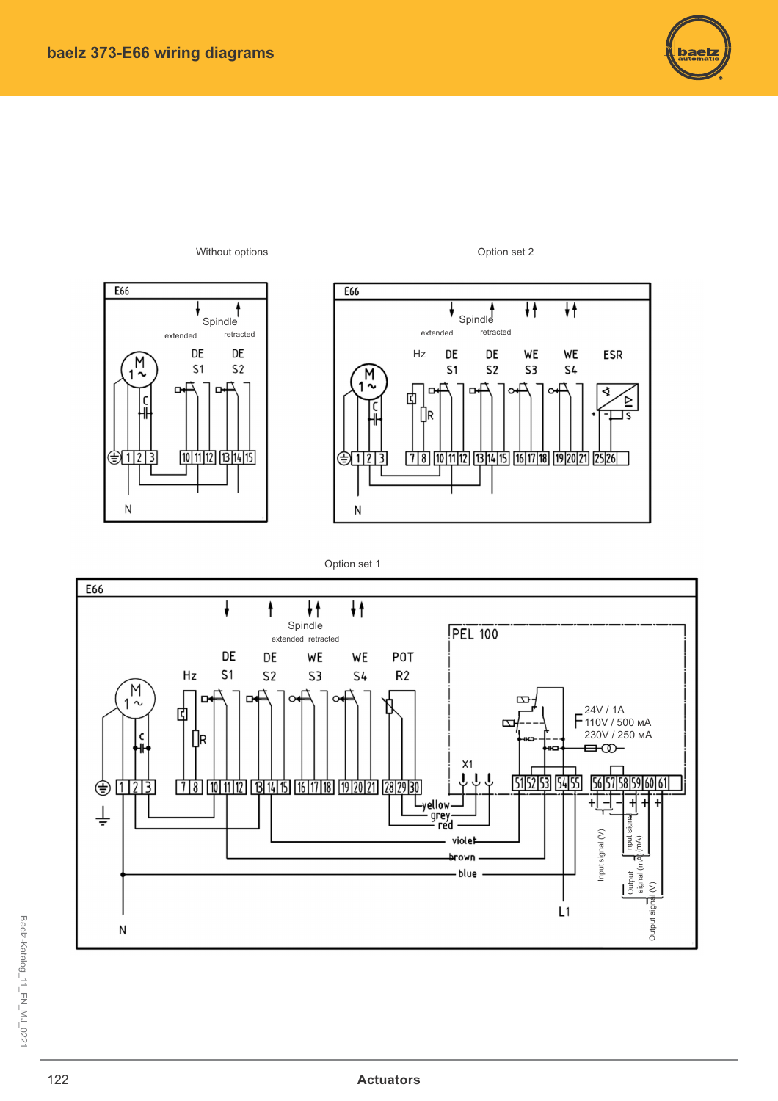



Option set 2







Baelz-Katalog\_11\_EN\_MJ\_022'